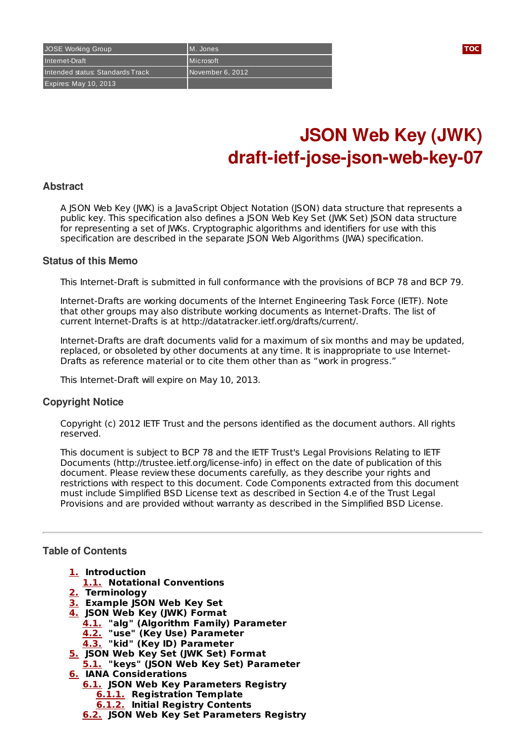# **JSON Web Key (JWK) draft-ietf-jose-json-web-key-07**

## **Abstract**

A JSON Web Key (JWK) is a JavaScript Object Notation (JSON) data structure that represents a public key. This specification also defines a JSON Web Key Set (JWK Set) JSON data structure for representing a set of JWKs. Cryptographic algorithms and identifiers for use with this specification are described in the separate JSON Web Algorithms (JWA) specification.

#### **Status of this Memo**

This Internet-Draft is submitted in full conformance with the provisions of BCP 78 and BCP 79.

Internet-Drafts are working documents of the Internet Engineering Task Force (IETF). Note that other groups may also distribute working documents as Internet-Drafts. The list of current Internet-Drafts is at http://datatracker.ietf.org/drafts/current/.

Internet-Drafts are draft documents valid for a maximum of six months and may be updated, replaced, or obsoleted by other documents at any time. It is inappropriate to use Internet-Drafts as reference material or to cite them other than as "work in progress."

This Internet-Draft will expire on May 10, 2013.

## **Copyright Notice**

Copyright (c) 2012 IETF Trust and the persons identified as the document authors. All rights reserved.

This document is subject to BCP 78 and the IETF Trust's Legal Provisions Relating to IETF Documents (http://trustee.ietf.org/license-info) in effect on the date of publication of this document. Please review these documents carefully, as they describe your rights and restrictions with respect to this document. Code Components extracted from this document must include Simplified BSD License text as described in Section 4.e of the Trust Legal Provisions and are provided without warranty as described in the Simplified BSD License.

## <span id="page-0-0"></span>**Table of Contents**

- **[1.](#page-1-0) Introduction**
- **[1.1.](#page-1-1) Notational Conventions**
- **[2.](#page-1-2) Terminology**
- **[3.](#page-1-3) Example JSON Web Key Set**
- **[4.](#page-2-0) JSON Web Key (JWK) Format**
	- **[4.1.](#page-2-1) "alg" (Algorithm Family) Parameter**
	- **[4.2.](#page-3-0) "use" (Key Use) Parameter**
	- **[4.3.](#page-3-1) "kid" (Key ID) Parameter**
- **[5.](#page-3-2) JSON Web Key Set (JWK Set) Format**
- **[5.1.](#page-3-3) "keys" (JSON Web Key Set) Parameter**
- **[6.](#page-3-4) IANA Considerations**
	- **[6.1.](#page-4-0) JSON Web Key Parameters Registry**
		- **[6.1.1.](#page-4-1) Registration Template**
		- **[6.1.2.](#page-4-2) Initial Registry Contents**
	- **[6.2.](#page-4-3) JSON Web Key Set Parameters Registry**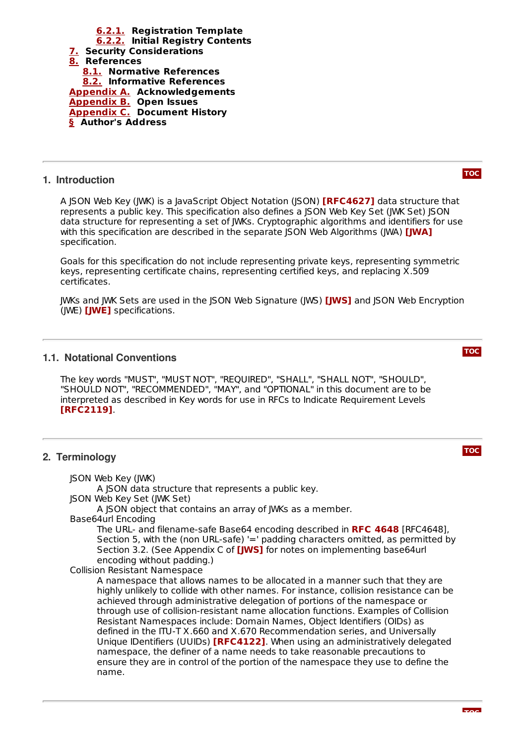

**[6.2.1.](#page-5-0) Registration Template [6.2.2.](#page-5-1) Initial Registry Contents**

## <span id="page-1-0"></span>**1. Introduction**

**[TOC](#page-0-0)**

**[TOC](#page-0-0)**

**[TOC](#page-0-0)**

A JSON Web Key (JWK) is a JavaScript Object Notation (JSON) **[\[RFC4627\]](#page-5-4)** data structure that represents a public key. This specification also defines a JSON Web Key Set (JWK Set) JSON data structure for representing a set of JWKs. Cryptographic algorithms and identifiers for use with this specification are described in the separate JSON Web Algorithms (JWA) **[\[JWA\]](#page-5-5)** specification.

Goals for this specification do not include representing private keys, representing symmetric keys, representing certificate chains, representing certified keys, and replacing X.509 certificates.

JWKs and JWK Sets are used in the JSON Web Signature (JWS) **[\[JWS\]](#page-6-4)** and JSON Web Encryption (JWE) [\[JWE\]](#page-6-5) specifications.

# <span id="page-1-1"></span>**1.1. Notational Conventions**

The key words "MUST", "MUST NOT", "REQUIRED", "SHALL", "SHALL NOT", "SHOULD", "SHOULD NOT", "RECOMMENDED", "MAY", and "OPTIONAL" in this document are to be interpreted as described in Key words for use in RFCs to Indicate Requirement Levels . **[\[RFC2119\]](#page-5-6)**

# <span id="page-1-2"></span>**2. Terminology**

<span id="page-1-3"></span>JSON Web Key (JWK) A JSON data structure that represents a public key. JSON Web Key Set (JWK Set) A JSON object that contains an array of JWKs as a member. Base64url Encoding The URL- and filename-safe Base64 encoding described in [RFC4648], **RFC [4648](#page-5-7)** Section 5, with the (non URL-safe) '=' padding characters omitted, as permitted by Section 3.2. (See Appendix C of **[\[JWS\]](#page-6-4)** for notes on implementing base64url encoding without padding.) Collision Resistant Namespace A namespace that allows names to be allocated in a manner such that they are highly unlikely to collide with other names. For instance, collision resistance can be achieved through administrative delegation of portions of the namespace or through use of collision-resistant name allocation functions. Examples of Collision Resistant Namespaces include: Domain Names, Object Identifiers (OIDs) as defined in the ITU-T X.660 and X.670 Recommendation series, and Universally Unique IDentifiers (UUIDs) **[\[RFC4122\]](#page-6-6)**. When using an administratively delegated namespace, the definer of a name needs to take reasonable precautions to ensure they are in control of the portion of the namespace they use to define the name.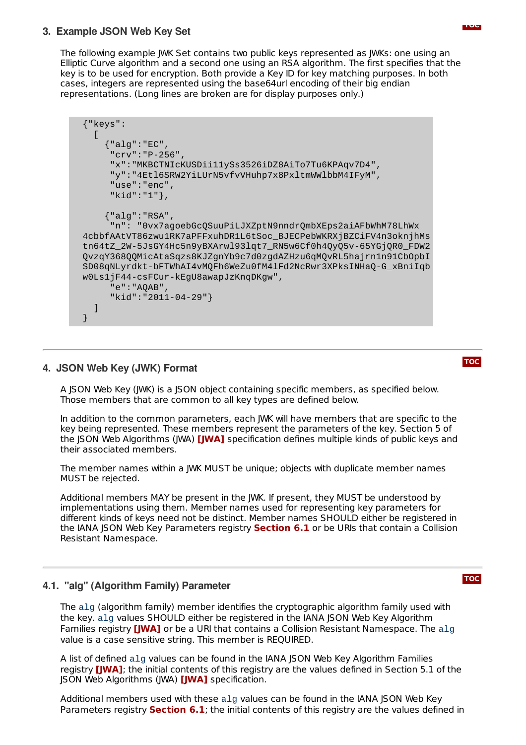# **3. Example JSON Web Key Set**

The following example JWK Set contains two public keys represented as JWKs: one using an Elliptic Curve algorithm and a second one using an RSA algorithm. The first specifies that the key is to be used for encryption. Both provide a Key ID for key matching purposes. In both cases, integers are represented using the base64url encoding of their big endian representations. (Long lines are broken are for display purposes only.)

```
{"keys":
  \Gamma{"alg":"EC",
     "crv":"P-256",
     "x":"MKBCTNIcKUSDii11ySs3526iDZ8AiTo7Tu6KPAqv7D4",
     "y":"4Etl6SRW2YiLUrN5vfvVHuhp7x8PxltmWWlbbM4IFyM",
     "use":"enc",
     "kid":"1"},
    {"alg":"RSA",
     "n": "0vx7agoebGcQSuuPiLJXZptN9nndrQmbXEps2aiAFbWhM78LhWx
4cbbfAAtVT86zwu1RK7aPFFxuhDR1L6tSoc_BJECPebWKRXjBZCiFV4n3oknjhMs
tn64tZ_2W-5JsGY4Hc5n9yBXArwl93lqt7_RN5w6Cf0h4QyQ5v-65YGjQR0_FDW2
QvzqY368QQMicAtaSqzs8KJZgnYb9c7d0zgdAZHzu6qMQvRL5hajrn1n91CbOpbI
SD08qNLyrdkt-bFTWhAI4vMQFh6WeZu0fM4lFd2NcRwr3XPksINHaQ-G_xBniIqb
w0Ls1jF44-csFCur-kEgU8awapJzKnqDKgw",
     "e":"AQAB",
     "kid":"2011-04-29"}
  ]
}
```
# <span id="page-2-0"></span>**4. JSON Web Key (JWK) Format**

A JSON Web Key (JWK) is a JSON object containing specific members, as specified below. Those members that are common to all key types are defined below.

In addition to the common parameters, each JWK will have members that are specific to the key being represented. These members represent the parameters of the key. Section 5 of the JSON Web Algorithms (JWA) **[\[JWA\]](#page-5-5)** specification defines multiple kinds of public keys and their associated members.

The member names within a JWK MUST be unique; objects with duplicate member names MUST be rejected.

Additional members MAY be present in the JWK. If present, they MUST be understood by implementations using them. Member names used for representing key parameters for different kinds of keys need not be distinct. Member names SHOULD either be registered in the IANA JSON Web Key Parameters registry **[Section](#page-4-0) 6.1** or be URIs that contain a Collision Resistant Namespace.

# <span id="page-2-1"></span>**4.1. "alg" (Algorithm Family) Parameter**

The alg (algorithm family) member identifies the cryptographic algorithm family used with the key. alg values SHOULD either be registered in the IANA JSON Web Key Algorithm Families registry **[\[JWA\]](#page-5-5)** or be a URI that contains a Collision Resistant Namespace. The  $\text{alg}$ value is a case sensitive string. This member is REQUIRED.

A list of defined alg values can be found in the IANA JSON Web Key Algorithm Families registry [\[JWA\]](#page-5-5); the initial contents of this registry are the values defined in Section 5.1 of the **JSON Web Algorithms (JWA)** *[\[JWA\]](#page-5-5)* **specification.** 

Additional members used with these alg values can be found in the IANA JSON Web Key Parameters registry **[Section](#page-4-0) 6.1**; the initial contents of this registry are the values defined in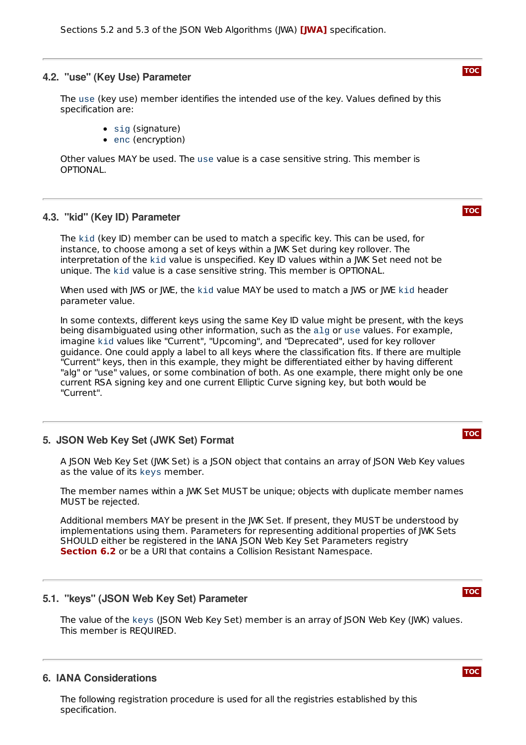#### <span id="page-3-0"></span>**4.2. "use" (Key Use) Parameter**

The use (key use) member identifies the intended use of the key. Values defined by this specification are:

- sig (signature)
- enc (encryption)

Other values MAY be used. The use value is a case sensitive string. This member is OPTIONAL.

## <span id="page-3-1"></span>**4.3. "kid" (Key ID) Parameter**

The kid (key ID) member can be used to match a specific key. This can be used, for instance, to choose among a set of keys within a JWK Set during key rollover. The interpretation of the kid value is unspecified. Key ID values within a JWK Set need not be unique. The kid value is a case sensitive string. This member is OPTIONAL.

When used with JWS or JWE, the kid value MAY be used to match a JWS or JWE kid header parameter value.

In some contexts, different keys using the same Key ID value might be present, with the keys being disambiguated using other information, such as the alg or use values. For example, imagine kid values like "Current", "Upcoming", and "Deprecated", used for key rollover guidance. One could apply a label to all keys where the classification fits. If there are multiple "Current" keys, then in this example, they might be differentiated either by having different "alg" or "use" values, or some combination of both. As one example, there might only be one current RSA signing key and one current Elliptic Curve signing key, but both would be "Current".

#### <span id="page-3-2"></span>**5. JSON Web Key Set (JWK Set) Format**

A JSON Web Key Set (JWK Set) is a JSON object that contains an array of JSON Web Key values as the value of its keys member.

The member names within a JWK Set MUST be unique; objects with duplicate member names MUST be rejected.

Additional members MAY be present in the JWK Set. If present, they MUST be understood by implementations using them. Parameters for representing additional properties of JWK Sets SHOULD either be registered in the IANA JSON Web Key Set Parameters registry **[Section](#page-4-3) 6.2** or be a URI that contains a Collision Resistant Namespace.

## <span id="page-3-3"></span>**5.1. "keys" (JSON Web Key Set) Parameter**

The value of the keys (JSON Web Key Set) member is an array of JSON Web Key (JWK) values. This member is REQUIRED.

## <span id="page-3-4"></span>**6. IANA Considerations**

The following registration procedure is used for all the registries established by this specification.



**[TOC](#page-0-0)**

#### **[TOC](#page-0-0)**

## **[TOC](#page-0-0)**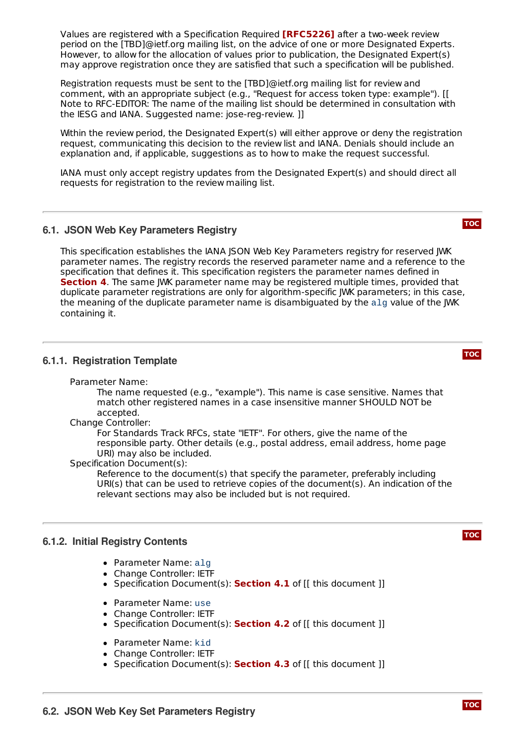Values are registered with a Specification Required **[\[RFC5226\]](#page-5-8)** after a two-week review period on the [TBD]@ietf.org mailing list, on the advice of one or more Designated Experts. However, to allow for the allocation of values prior to publication, the Designated Expert(s) may approve registration once they are satisfied that such a specification will be published.

Registration requests must be sent to the [TBD]@ietf.org mailing list for review and comment, with an appropriate subject (e.g., "Request for access token type: example"). [[ Note to RFC-EDITOR: The name of the mailing list should be determined in consultation with the IESG and IANA. Suggested name: jose-reg-review. ]]

Within the review period, the Designated Expert(s) will either approve or deny the registration request, communicating this decision to the review list and IANA. Denials should include an explanation and, if applicable, suggestions as to how to make the request successful.

IANA must only accept registry updates from the Designated Expert(s) and should direct all requests for registration to the review mailing list.

# <span id="page-4-0"></span>**6.1. JSON Web Key Parameters Registry**

This specification establishes the IANA JSON Web Key Parameters registry for reserved JWK parameter names. The registry records the reserved parameter name and a reference to the specification that defines it. This specification registers the parameter names defined in **[Section](#page-2-0) 4**. The same JWK parameter name may be registered multiple times, provided that duplicate parameter registrations are only for algorithm-specific JWK parameters; in this case, the meaning of the duplicate parameter name is disambiguated by the alg value of the JWK containing it.

## <span id="page-4-1"></span>**6.1.1. Registration Template**

Parameter Name:

The name requested (e.g., "example"). This name is case sensitive. Names that match other registered names in a case insensitive manner SHOULD NOT be accepted.

Change Controller:

For Standards Track RFCs, state "IETF". For others, give the name of the responsible party. Other details (e.g., postal address, email address, home page URI) may also be included.

Specification Document(s):

Reference to the document(s) that specify the parameter, preferably including URI(s) that can be used to retrieve copies of the document(s). An indication of the relevant sections may also be included but is not required.

## <span id="page-4-2"></span>**6.1.2. Initial Registry Contents**

- Parameter Name: alg
- Change Controller: IETF
- Specification Document(s): **[Section](#page-2-1) 4.1** of [[ this document ]]
- Parameter Name: use
- Change Controller: IETF
- Specification Document(s): **[Section](#page-3-0) 4.2** of [[ this document ]]
- Parameter Name: kid
- Change Controller: IETF
- <span id="page-4-3"></span>Specification Document(s): **[Section](#page-3-1) 4.3** of [[ this document ]]

**[TOC](#page-0-0)**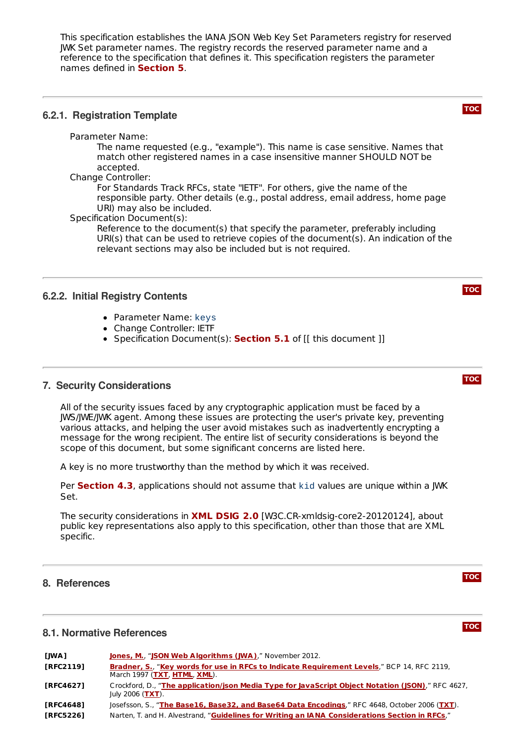This specification establishes the IANA ISON Web Key Set Parameters registry for reserved JWK Set parameter names. The registry records the reserved parameter name and a reference to the specification that defines it. This specification registers the parameter names defined in **[Section](#page-3-2) 5**.

# <span id="page-5-0"></span>**6.2.1. Registration Template**

Parameter Name:

The name requested (e.g., "example"). This name is case sensitive. Names that match other registered names in a case insensitive manner SHOULD NOT be accepted.

Change Controller:

For Standards Track RFCs, state "IETF". For others, give the name of the responsible party. Other details (e.g., postal address, email address, home page URI) may also be included.

Specification Document(s):

Reference to the document(s) that specify the parameter, preferably including URI(s) that can be used to retrieve copies of the document(s). An indication of the relevant sections may also be included but is not required.

# <span id="page-5-1"></span>**6.2.2. Initial Registry Contents**

- Parameter Name: keys
- Change Controller: IETF
- Specification Document(s): **[Section](#page-3-3) 5.1** of [[ this document ]]

## <span id="page-5-2"></span>**7. Security Considerations**

All of the security issues faced by any cryptographic application must be faced by a JWS/JWE/JWK agent. Among these issues are protecting the user's private key, preventing various attacks, and helping the user avoid mistakes such as inadvertently encrypting a message for the wrong recipient. The entire list of security considerations is beyond the scope of this document, but some significant concerns are listed here.

A key is no more trustworthy than the method by which it was received.

Per [Section](#page-3-1) 4.3, applications should not assume that kid values are unique within a JWK Set.

The security considerations in **XML [DSIG](#page-6-7) 2.0** [W3C.CR-xmldsig-core2-20120124], about public key representations also apply to this specification, other than those that are XML specific.

## <span id="page-5-3"></span>**8. References**

# **8.1. Normative References**

<span id="page-5-8"></span><span id="page-5-7"></span><span id="page-5-6"></span><span id="page-5-5"></span><span id="page-5-4"></span>

| [JWA]            | <b>Jones, M., "JSON Web Algorithms (JWA),"</b> November 2012.                                                              |
|------------------|----------------------------------------------------------------------------------------------------------------------------|
| <b>FRFC21191</b> | Bradner, S., "Key words for use in RFCs to Indicate Requirement Levels," BCP 14, RFC 2119,<br>March 1997 (TXT, HTML, XML). |
| <b>FRFC46271</b> | Crockford, D., "The application/json Media Type for JavaScript Object Notation (JSON)," RFC 4627,<br>July 2006 ( $TXT$ ).  |
| <b>FRFC46481</b> | Josefsson, S., "The Base16, Base32, and Base64 Data Encodings," RFC 4648, October 2006 (TXT).                              |
| <b>FRFC52261</b> | Narten, T. and H. Alvestrand, "Guidelines for Writing an IANA Considerations Section in RFCs,"                             |



**[TOC](#page-0-0)**

**[TOC](#page-0-0)**

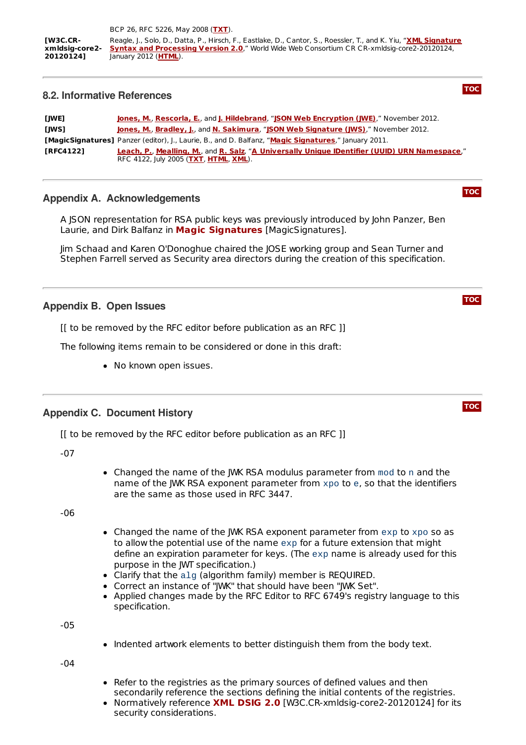## <span id="page-6-7"></span><span id="page-6-0"></span>**8.2. Informative References**

<span id="page-6-8"></span><span id="page-6-6"></span><span id="page-6-5"></span><span id="page-6-4"></span>

| [JWE]            | Jones, M., Rescorla, E., and J. Hildebrand, "JSON Web Encryption (JWE)," November 2012.                                                |
|------------------|----------------------------------------------------------------------------------------------------------------------------------------|
| <b>TIWS1</b>     | Jones, M., Bradley, J., and N. Sakimura, "JSON Web Signature (JWS)." November 2012.                                                    |
|                  | [MagicSignatures] Panzer (editor), J., Laurie, B., and D. Balfanz, "Magic Signatures," January 2011.                                   |
| <b>TRFC41221</b> | Leach, P., Mealling, M., and R. Salz, "A Universally Unique IDentifier (UUID) URN Namespace,"<br>RFC 4122, July 2005 (TXT, HTML, XML). |

**[TOC](#page-0-0)**

**[TOC](#page-0-0)**

**[TOC](#page-0-0)**

**[TOC](#page-0-0)**

# <span id="page-6-1"></span>**Appendix A. Acknowledgements**

A JSON representation for RSA public keys was previously introduced by John Panzer, Ben Laurie, and Dirk Balfanz in **Magic [Signatures](#page-6-8)** [MagicSignatures].

Jim Schaad and Karen O'Donoghue chaired the JOSE working group and Sean Turner and Stephen Farrell served as Security area directors during the creation of this specification.

## <span id="page-6-2"></span>**Appendix B. Open Issues**

[[ to be removed by the RFC editor before publication as an RFC ]]

The following items remain to be considered or done in this draft:

• No known open issues.

## <span id="page-6-3"></span>**Appendix C. Document History**

[[ to be removed by the RFC editor before publication as an RFC ]]

-07

Changed the name of the JWK RSA modulus parameter from mod to n and the name of the JWK RSA exponent parameter from xpo to e, so that the identifiers are the same as those used in RFC 3447.

-06

- Changed the name of the JWK RSA exponent parameter from exp to xpo so as to allow the potential use of the name exp for a future extension that might define an expiration parameter for keys. (The exp name is already used for this purpose in the JWT specification.)
- Clarify that the alg (algorithm family) member is REQUIRED.
- Correct an instance of "JWK" that should have been "JWK Set".
- Applied changes made by the RFC Editor to RFC 6749's registry language to this specification.

-05

• Indented artwork elements to better distinguish them from the body text.

-04

- Refer to the registries as the primary sources of defined values and then secondarily reference the sections defining the initial contents of the registries.
- **Normatively reference <b>XML [DSIG](#page-6-7) 2.0** [W3C.CR-xmldsig-core2-20120124] for its security considerations.